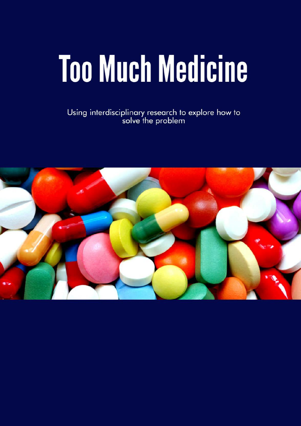# **Too Much Medicine**

Using interdisciplinary research to explore how to<br>solve the problem

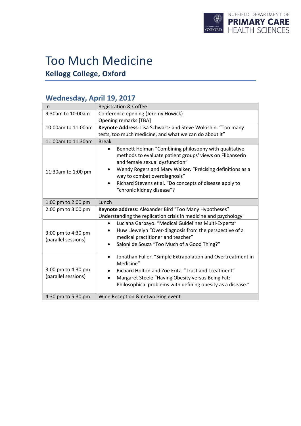

# Too Much Medicine

**Kellogg College, Oxford**

## **Wednesday, April 19, 2017**

| n                                         | <b>Registration &amp; Coffee</b>                                                                                                                                                                                                                                 |
|-------------------------------------------|------------------------------------------------------------------------------------------------------------------------------------------------------------------------------------------------------------------------------------------------------------------|
| 9:30am to 10:00am                         | Conference opening (Jeremy Howick)                                                                                                                                                                                                                               |
|                                           | <b>Opening remarks [TBA]</b>                                                                                                                                                                                                                                     |
| 10:00am to 11:00am                        | Keynote Address: Lisa Schwartz and Steve Woloshin. "Too many                                                                                                                                                                                                     |
|                                           | tests, too much medicine, and what we can do about it"                                                                                                                                                                                                           |
| 11:00am to 11:30am                        | <b>Break</b>                                                                                                                                                                                                                                                     |
| 11:30am to 1:00 pm                        | Bennett Holman "Combining philosophy with qualitative<br>$\bullet$<br>methods to evaluate patient groups' views on Flibanserin<br>and female sexual dysfunction"<br>Wendy Rogers and Mary Walker. "Précising definitions as a                                    |
|                                           | way to combat overdiagnosis"                                                                                                                                                                                                                                     |
|                                           | Richard Stevens et al. "Do concepts of disease apply to<br>$\bullet$                                                                                                                                                                                             |
|                                           | "chronic kidney disease"?                                                                                                                                                                                                                                        |
| 1:00 pm to 2:00 pm                        | Lunch                                                                                                                                                                                                                                                            |
| 2:00 pm to 3:00 pm                        | Keynote address: Alexander Bird "Too Many Hypotheses?                                                                                                                                                                                                            |
|                                           | Understanding the replication crisis in medicine and psychology"                                                                                                                                                                                                 |
| 3:00 pm to 4:30 pm<br>(parallel sessions) | Luciana Garbayo. "Medical Guidelines Multi-Experts"<br>$\bullet$<br>Huw Llewelyn "Over-diagnosis from the perspective of a<br>$\bullet$<br>medical practitioner and teacher"<br>Saloni de Souza "Too Much of a Good Thing?"<br>$\bullet$                         |
| 3:00 pm to 4:30 pm<br>(parallel sessions) | Jonathan Fuller. "Simple Extrapolation and Overtreatment in<br>$\bullet$<br>Medicine"<br>Richard Holton and Zoe Fritz. "Trust and Treatment"<br>Margaret Steele "Having Obesity versus Being Fat:<br>Philosophical problems with defining obesity as a disease." |
| 4:30 pm to 5:30 pm                        | Wine Reception & networking event                                                                                                                                                                                                                                |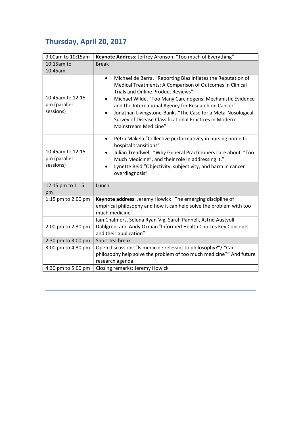## **Thursday, April 20, 2017**

| 9:00am to 10:15am                             | Keynote Address: Jeffrey Aronson. "Too much of Everything"                                                                                                                                                                                                                                                                                                                                                                                                      |
|-----------------------------------------------|-----------------------------------------------------------------------------------------------------------------------------------------------------------------------------------------------------------------------------------------------------------------------------------------------------------------------------------------------------------------------------------------------------------------------------------------------------------------|
| 10:15am to                                    | <b>Break</b>                                                                                                                                                                                                                                                                                                                                                                                                                                                    |
| 10:45am                                       |                                                                                                                                                                                                                                                                                                                                                                                                                                                                 |
| 10:45am to 12:15<br>pm (parallel<br>sessions) | Michael de Barra. "Reporting Bias Inflates the Reputation of<br>$\bullet$<br>Medical Treatments: A Comparison of Outcomes in Clinical<br>Trials and Online Product Reviews"<br>Michael Wilde. "Too Many Carcinogens: Mechanistic Evidence<br>and the International Agency for Research on Cancer"<br>Jonathan Livingstone-Banks "The Case for a Meta-Nosological<br>$\bullet$<br>Survey of Disease Classificational Practices in Modern<br>Mainstream Medicine" |
| 10:45am to 12:15<br>pm (parallel<br>sessions) | Petra Makela "Collective performativity in nursing home to<br>٠<br>hospital transitions"<br>Julian Treadwell. "Why General Practitioners care about "Too<br>Much Medicine", and their role in addressing it."<br>Lynette Reid "Objectivity, subjectivity, and harm in cancer<br>$\bullet$<br>overdiagnosis"                                                                                                                                                     |
| 12:15 pm to 1:15<br>pm                        | Lunch                                                                                                                                                                                                                                                                                                                                                                                                                                                           |
| 1:15 pm to 2:00 pm                            | Keynote address: Jeremy Howick "The emerging discipline of<br>empirical philosophy and how it can help solve the problem with too<br>much medicine"                                                                                                                                                                                                                                                                                                             |
| 2:00 pm to 2:30 pm                            | Iain Chalmers, Selena Ryan-Vig, Sarah Pannell, Astrid Austvoll-<br>Dahlgren, and Andy Oxman "Informed Health Choices Key Concepts<br>and their application"                                                                                                                                                                                                                                                                                                     |
| 2:30 pm to 3:00 pm                            | Short tea break                                                                                                                                                                                                                                                                                                                                                                                                                                                 |
| 3:00 pm to 4:30 pm                            | Open discussion: "Is medicine relevant to philosophy?"/ "Can<br>philosophy help solve the problem of too much medicine?" And future<br>research agenda.                                                                                                                                                                                                                                                                                                         |
| 4:30 pm to 5:00 pm                            | Closing remarks: Jeremy Howick                                                                                                                                                                                                                                                                                                                                                                                                                                  |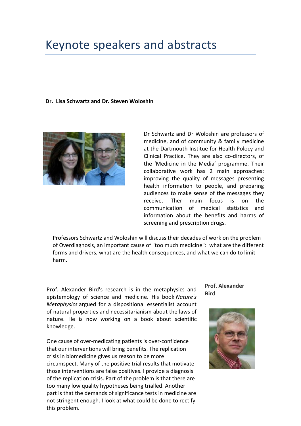## Keynote speakers and abstracts

#### **Dr. Lisa Schwartz and Dr. Steven Woloshin**



Dr Schwartz and Dr Woloshin are professors of medicine, and of community & family medicine at the Dartmouth Institue for Health Polocy and Clinical Practice. They are also co-directors, of the 'Medicine in the Media' programme. Their collaborative work has 2 main approaches: improving the quality of messages presenting health information to people, and preparing audiences to make sense of the messages they receive. Ther main focus is on the communication of medical statistics and information about the benefits and harms of screening and prescription drugs.

Professors Schwartz and Woloshin will discuss their decades of work on the problem of Overdiagnosis, an important cause of "too much medicine": what are the different forms and drivers, what are the health consequences, and what we can do to limit harm.

**Prof.** Alexander Bird's research is in the metaphysics and **Bird** epistemology of science and medicine. His book *Nature's Metaphysics* argued for a dispositional essentialist account of natural properties and necessitarianism about the laws of nature. He is now working on a book about scientific knowledge.

One cause of over-medicating patients is over-confidence that our interventions will bring benefits. The replication crisis in biomedicine gives us reason to be more circumspect. Many of the positive trial results that motivate those interventions are false positives. I provide a diagnosis of the replication crisis. Part of the problem is that there are too many low quality hypotheses being trialled. Another part is that the demands of significance tests in medicine are not stringent enough. I look at what could be done to rectify this problem.

**Prof. Alexander** 

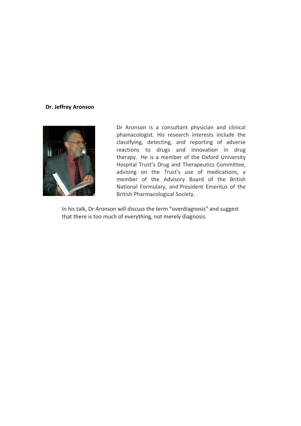#### **Dr. Jeffrey Aronson**



Dr Aronson is a consultant physician and clinical phamacologist. His research interests include the classifying, detecting, and reporting of adverse reactions to drugs and innovation in drug therapy. He is a member of the Oxford University Hospital Trust's Drug and Therapeutics Committee, advising on the Trust's use of medications, a member of the Advisory Board of the British National Formulary, and President Emeritus of the British Pharmacological Society.

In his talk, Dr Aronson will discuss the term "overdiagnosis" and suggest that there is too much of everything, not merely diagnosis.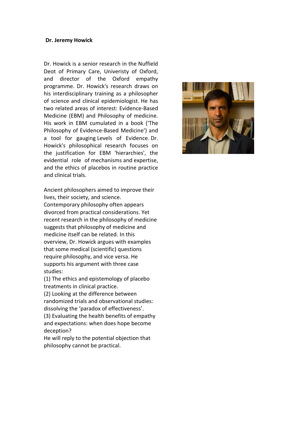#### **Dr. Jeremy Howick**

Dr. Howick is a senior research in the Nuffield Deot of Primary Care, Univeristy of Oxford, and director of the Oxford empathy programme. Dr. Howick's research draws on his interdisciplinary training as a philosopher of science and clinical epidemiologist. He has two related areas of interest: Evidence-Based Medicine (EBM) and Philosophy of medicine. His work in EBM cumulated in a book ('The Philosophy of Evidence-Based Medicine') and a tool for gauging Levels of Evidence. Dr. Howick's philosophical research focuses on the justification for EBM 'hierarchies', the evidential role of mechanisms and expertise, and the ethics of placebos in routine practice and clinical trials.

Ancient philosophers aimed to improve their lives, their society, and science. Contemporary philosophy often appears divorced from practical considerations. Yet recent research in the philosophy of medicine suggests that philosophy of medicine and medicine itself can be related. In this overview, Dr. Howick argues with examples that some medical (scientific) questions require philosophy, and vice versa. He supports his argument with three case studies:

(1) The ethics and epistemology of placebo treatments in clinical practice.

(2) Looking at the difference between randomized trials and observational studies: dissolving the 'paradox of effectiveness'. (3) Evaluating the health benefits of empathy and expectations: when does hope become deception?

He will reply to the potential objection that philosophy cannot be practical.

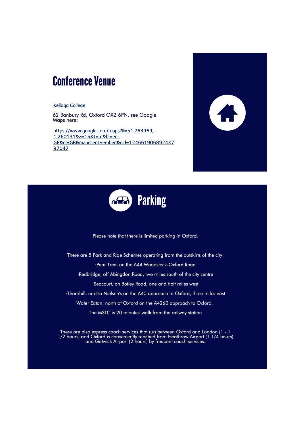## **Conference Venue**

#### Kellogg College

62 Banbury Rd, Oxford OX2 6PN, see Google Maps here:

[https://www.google.com/maps?ll=51.763969,-](https://www.google.com/maps?ll=51.763969,-1.260131&z=15&t=m&hl=en-GB&gl=GB&mapclient=embed&cid=12466190689243797042) [1.260131&z=15&t=m&hl=en-](https://www.google.com/maps?ll=51.763969,-1.260131&z=15&t=m&hl=en-GB&gl=GB&mapclient=embed&cid=12466190689243797042)[GB&gl=GB&mapclient=embed&cid=124661906892437](https://www.google.com/maps?ll=51.763969,-1.260131&z=15&t=m&hl=en-GB&gl=GB&mapclient=embed&cid=12466190689243797042) [97042](https://www.google.com/maps?ll=51.763969,-1.260131&z=15&t=m&hl=en-GB&gl=GB&mapclient=embed&cid=12466190689243797042)





Please note that there is limited parking in Oxford.

There are 5 Park and Ride Schemes operating from the outskirts of the city: ·Pear Tree, on the A44 Woodstock-Oxford Road ·Redbridge, off Abingdon Road, two miles south of the city centre ·Seacourt, on Botley Road, one and half miles west ·Thornhill, next to Nielsen's on the A40 approach to Oxford, three miles east ·Water Eaton, north of Oxford on the A4260 approach to Oxford.

The MSTC is 20 minutes' walk from the railway station

There are also express coach services that run between Oxford and London (1 - 1<br>1/2 hours) and Oxford is conveniently reached from Heathrow Airport (1 1/4 hours)<br>and Gatwick Airport (2 hours) by frequent coach services.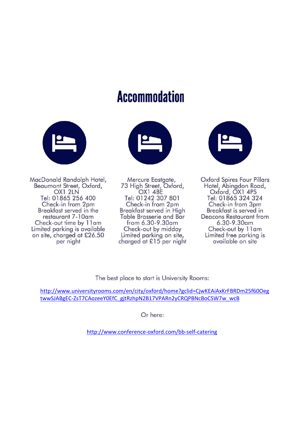# **Accommodation**



MacDonald Randolph Hotel, Beaumont Street, Oxford, OX1 2LN Tel: 01865 256 400 Check-in from 2pm Breakfast served in the restaurant 7-10am Check-out time by 11am Limited parking is available on site, charged at £26.50 per night



Mercure Eastgate, 73 High Street, Oxford, OX1 4BE Tel: 01242 307 801 Check-in from 2pm Breakfast served in High **Table Brasserie and Bar** from 6.30-9.30am Check-out by midday Limited parking on site, charged at £15 per night



**Oxford Spires Four Pillars** Hotel, Abingdon Road, Oxford, OX1 4PS Tel: 01865 324 324 Check-in from 3pm Breakfast is served in Deacons Restaurant from  $6.30 - 9.30$ am Check-out by 11am Limited free parking is available on site

The best place to start is University Rooms:

[http://www.universityrooms.com/en/city/oxford/home?gclid=CjwKEAiAxKrFBRDm25f60Oeg](http://www.universityrooms.com/en/city/oxford/home?gclid=CjwKEAiAxKrFBRDm25f60OegtwwSJABgEC-ZsT7CAozeeY0EfC_gjtRzhpN2B17VPARn2yCRQPBNcBoCSW7w_wcB) [twwSJABgEC-ZsT7CAozeeY0EfC\\_gjtRzhpN2B17VPARn2yCRQPBNcBoCSW7w\\_wcB](http://www.universityrooms.com/en/city/oxford/home?gclid=CjwKEAiAxKrFBRDm25f60OegtwwSJABgEC-ZsT7CAozeeY0EfC_gjtRzhpN2B17VPARn2yCRQPBNcBoCSW7w_wcB)

Or here:

<http://www.conference-oxford.com/bb-self-catering>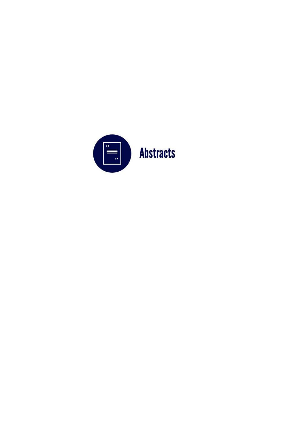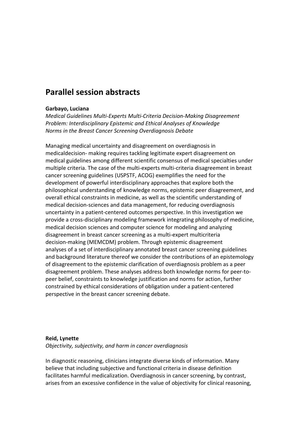### **Parallel session abstracts**

#### **Garbayo, Luciana**

*Medical Guidelines Multi-Experts Multi-Criteria Decision-Making Disagreement Problem: Interdisciplinary Epistemic and Ethical Analyses of Knowledge Norms in the Breast Cancer Screening Overdiagnosis Debate*

Managing medical uncertainty and disagreement on overdiagnosis in medicaldecision- making requires tackling legitimate expert disagreement on medical guidelines among different scientific consensus of medical specialties under multiple criteria. The case of the multi-experts multi-criteria disagreement in breast cancer screening guidelines (USPSTF, ACOG) exemplifies the need for the development of powerful interdisciplinary approaches that explore both the philosophical understanding of knowledge norms, epistemic peer disagreement, and overall ethical constraints in medicine, as well as the scientific understanding of medical decision-sciences and data management, for reducing overdiagnosis uncertainty in a patient-centered outcomes perspective. In this investigation we provide a cross-disciplinary modeling framework integrating philosophy of medicine, medical decision sciences and computer science for modeling and analyzing disagreement in breast cancer screening as a multi-expert multicriteria decision-making (MEMCDM) problem. Through epistemic disagreement analyses of a set of interdisciplinary annotated breast cancer screening guidelines and background literature thereof we consider the contributions of an epistemology of disagreement to the epistemic clarification of overdiagnosis problem as a peer disagreement problem. These analyses address both knowledge norms for peer-topeer belief, constraints to knowledge justification and norms for action, further constrained by ethical considerations of obligation under a patient-centered perspective in the breast cancer screening debate.

#### **Reid, Lynette**

*Objectivity, subjectivity, and harm in cancer overdiagnosis*

In diagnostic reasoning, clinicians integrate diverse kinds of information. Many believe that including subjective and functional criteria in disease definition facilitates harmful medicalization. Overdiagnosis in cancer screening, by contrast, arises from an excessive confidence in the value of objectivity for clinical reasoning,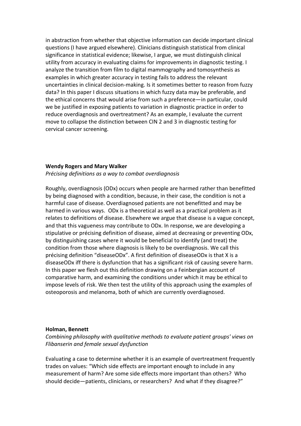in abstraction from whether that objective information can decide important clinical questions (I have argued elsewhere). Clinicians distinguish statistical from clinical significance in statistical evidence; likewise, I argue, we must distinguish clinical utility from accuracy in evaluating claims for improvements in diagnostic testing. I analyze the transition from film to digital mammography and tomosynthesis as examples in which greater accuracy in testing fails to address the relevant uncertainties in clinical decision-making. Is it sometimes better to reason from fuzzy data? In this paper I discuss situations in which fuzzy data may be preferable, and the ethical concerns that would arise from such a preference—in particular, could we be justified in exposing patients to variation in diagnostic practice in order to reduce overdiagnosis and overtreatment? As an example, I evaluate the current move to collapse the distinction between CIN 2 and 3 in diagnostic testing for cervical cancer screening.

#### **Wendy Rogers and Mary Walker**

*Précising definitions as a way to combat overdiagnosis*

Roughly, overdiagnosis (ODx) occurs when people are harmed rather than benefitted by being diagnosed with a condition, because, in their case, the condition is not a harmful case of disease. Overdiagnosed patients are not benefitted and may be harmed in various ways. ODx is a theoretical as well as a practical problem as it relates to definitions of disease. Elsewhere we argue that disease is a vague concept, and that this vagueness may contribute to ODx. In response, we are developing a stipulative or précising definition of disease, aimed at decreasing or preventing ODx, by distinguishing cases where it would be beneficial to identify (and treat) the condition from those where diagnosis is likely to be overdiagnosis. We call this précising definition "diseaseODx". A first definition of diseaseODx is that X is a diseaseODx iff there is dysfunction that has a significant risk of causing severe harm. In this paper we flesh out this definition drawing on a Feinbergian account of comparative harm, and examining the conditions under which it may be ethical to impose levels of risk. We then test the utility of this approach using the examples of osteoporosis and melanoma, both of which are currently overdiagnosed.

#### **Holman, Bennett**

*Combining philosophy with qualitative methods to evaluate patient groups' views on Flibanserin and female sexual dysfunction*

Evaluating a case to determine whether it is an example of overtreatment frequently trades on values: "Which side effects are important enough to include in any measurement of harm? Are some side effects more important than others? Who should decide—patients, clinicians, or researchers? And what if they disagree?"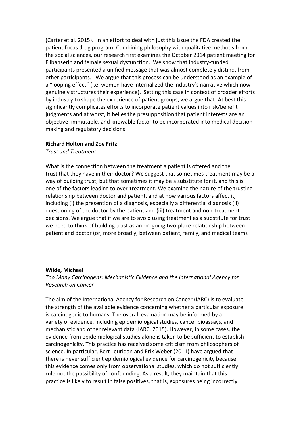(Carter et al. 2015). In an effort to deal with just this issue the FDA created the patient focus drug program. Combining philosophy with qualitative methods from the social sciences, our research first examines the October 2014 patient meeting for Flibanserin and female sexual dysfunction. We show that industry-funded participants presented a unified message that was almost completely distinct from other participants. We argue that this process can be understood as an example of a "looping effect" (i.e. women have internalized the industry's narrative which now genuinely structures their experience). Setting this case in context of broader efforts by industry to shape the experience of patient groups, we argue that: At best this significantly complicates efforts to incorporate patient values into risk/benefit judgments and at worst, it belies the presupposition that patient interests are an objective, immutable, and knowable factor to be incorporated into medical decision making and regulatory decisions.

#### **Richard Holton and Zoe Fritz**

*Trust and Treatment*

What is the connection between the treatment a patient is offered and the trust that they have in their doctor? We suggest that sometimes treatment may be a way of building trust; but that sometimes it may be a substitute for it, and this is one of the factors leading to over-treatment. We examine the nature of the trusting relationship between doctor and patient, and at how various factors affect it, including (i) the presention of a diagnosis, especially a differential diagnosis (ii) questioning of the doctor by the patient and (iii) treatment and non-treatment decisions. We argue that if we are to avoid using treatment as a substitute for trust we need to think of building trust as an on-going two-place relationship between patient and doctor (or, more broadly, between patient, family, and medical team).

#### **Wilde, Michael**

*Too Many Carcinogens: Mechanistic Evidence and the International Agency for Research on Cancer*

The aim of the International Agency for Research on Cancer (IARC) is to evaluate the strength of the available evidence concerning whether a particular exposure is carcinogenic to humans. The overall evaluation may be informed by a variety of evidence, including epidemiological studies, cancer bioassays, and mechanistic and other relevant data (IARC, 2015). However, in some cases, the evidence from epidemiological studies alone is taken to be sufficient to establish carcinogenicity. This practice has received some criticism from philosophers of science. In particular, Bert Leuridan and Erik Weber (2011) have argued that there is never sufficient epidemiological evidence for carcinogenicity because this evidence comes only from observational studies, which do not sufficiently rule out the possibility of confounding. As a result, they maintain that this practice is likely to result in false positives, that is, exposures being incorrectly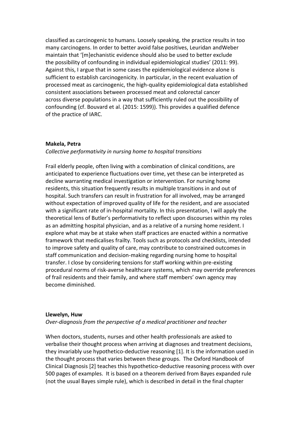classified as carcinogenic to humans. Loosely speaking, the practice results in too many carcinogens. In order to better avoid false positives, Leuridan andWeber maintain that '[m]echanistic evidence should also be used to better exclude the possibility of confounding in individual epidemiological studies' (2011: 99). Against this, I argue that in some cases the epidemiological evidence alone is sufficient to establish carcinogenicity. In particular, in the recent evaluation of processed meat as carcinogenic, the high-quality epidemiological data established consistent associations between processed meat and colorectal cancer across diverse populations in a way that sufficiently ruled out the possibility of confounding (cf. Bouvard et al. (2015: 1599)). This provides a qualified defence of the practice of IARC.

#### **Makela, Petra**

#### *Collective performativity in nursing home to hospital transitions*

Frail elderly people, often living with a combination of clinical conditions, are anticipated to experience fluctuations over time, yet these can be interpreted as decline warranting medical investigation or intervention. For nursing home residents, this situation frequently results in multiple transitions in and out of hospital. Such transfers can result in frustration for all involved, may be arranged without expectation of improved quality of life for the resident, and are associated with a significant rate of in-hospital mortality. In this presentation, I will apply the theoretical lens of Butler's performativity to reflect upon discourses within my roles as an admitting hospital physician, and as a relative of a nursing home resident. I explore what may be at stake when staff practices are enacted within a normative framework that medicalises frailty. Tools such as protocols and checklists, intended to improve safety and quality of care, may contribute to constrained outcomes in staff communication and decision-making regarding nursing home to hospital transfer. I close by considering tensions for staff working within pre-existing procedural norms of risk-averse healthcare systems, which may override preferences of frail residents and their family, and where staff members' own agency may become diminished.

#### **Llewelyn, Huw**

*Over-diagnosis from the perspective of a medical practitioner and teacher*

When doctors, students, nurses and other health professionals are asked to verbalise their thought process when arriving at diagnoses and treatment decisions, they invariably use hypothetico-deductive reasoning [1]. It is the information used in the thought process that varies between these groups. The Oxford Handbook of Clinical Diagnosis [2] teaches this hypothetico-deductive reasoning process with over 500 pages of examples. It is based on a theorem derived from Bayes expanded rule (not the usual Bayes simple rule), which is described in detail in the final chapter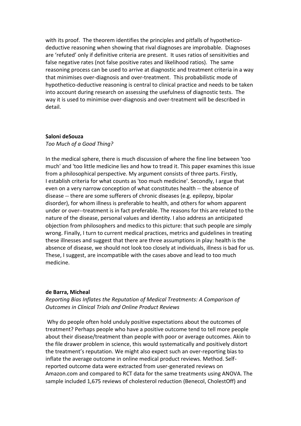with its proof. The theorem identifies the principles and pitfalls of hypotheticodeductive reasoning when showing that rival diagnoses are improbable. Diagnoses are 'refuted' only if definitive criteria are present. It uses ratios of sensitivities and false negative rates (not false positive rates and likelihood ratios). The same reasoning process can be used to arrive at diagnostic and treatment criteria in a way that minimises over-diagnosis and over-treatment. This probabilistic mode of hypothetico-deductive reasoning is central to clinical practice and needs to be taken into account during research on assessing the usefulness of diagnostic tests. The way it is used to minimise over-diagnosis and over-treatment will be described in detail.

#### **Saloni deSouza**

*Too Much of a Good Thing?*

In the medical sphere, there is much discussion of where the fine line between 'too much' and 'too little medicine lies and how to tread it. This paper examines this issue from a philosophical perspective. My argument consists of three parts. Firstly, I establish criteria for what counts as 'too much medicine'. Secondly, I argue that even on a very narrow conception of what constitutes health -- the absence of disease -‐ there are some sufferers of chronic diseases (e.g. epilepsy, bipolar disorder), for whom illness is preferable to health, and others for whom apparent under or over-‐treatment is in fact preferable. The reasons for this are related to the nature of the disease, personal values and identity. I also address an anticipated objection from philosophers and medics to this picture: that such people are simply wrong. Finally, I turn to current medical practices, metrics and guidelines in treating these illnesses and suggest that there are three assumptions in play: health is the absence of disease, we should not look too closely at individuals, illness is bad for us. These, I suggest, are incompatible with the cases above and lead to too much medicine.

#### **de Barra, Micheal**

*Reporting Bias Inflates the Reputation of Medical Treatments: A Comparison of Outcomes in Clinical Trials and Online Product Reviews*

Why do people often hold unduly positive expectations about the outcomes of treatment? Perhaps people who have a positive outcome tend to tell more people about their disease/treatment than people with poor or average outcomes. Akin to the file drawer problem in science, this would systematically and positively distort the treatment's reputation. We might also expect such an over-reporting bias to inflate the average outcome in online medical product reviews. Method. Selfreported outcome data were extracted from user-generated reviews on Amazon.com and compared to RCT data for the same treatments using ANOVA. The sample included 1,675 reviews of cholesterol reduction (Benecol, CholestOff) and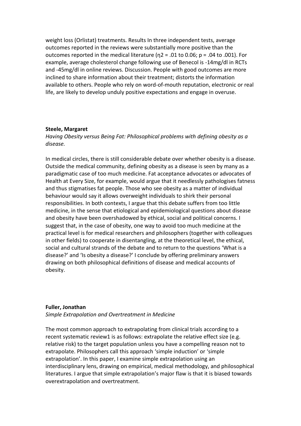weight loss (Orlistat) treatments. Results In three independent tests, average outcomes reported in the reviews were substantially more positive than the outcomes reported in the medical literature ( $n^2 = .01$  to 0.06;  $p = .04$  to .001). For example, average cholesterol change following use of Benecol is -14mg/dl in RCTs and -45mg/dl in online reviews. Discussion. People with good outcomes are more inclined to share information about their treatment; distorts the information available to others. People who rely on word-of-mouth reputation, electronic or real life, are likely to develop unduly positive expectations and engage in overuse.

#### **Steele, Margaret**

*Having Obesity versus Being Fat: Philosophical problems with defining obesity as a disease.*

In medical circles, there is still considerable debate over whether obesity is a disease. Outside the medical community, defining obesity as a disease is seen by many as a paradigmatic case of too much medicine. Fat acceptance advocates or advocates of Health at Every Size, for example, would argue that it needlessly pathologises fatness and thus stigmatises fat people. Those who see obesity as a matter of individual behaviour would say it allows overweight individuals to shirk their personal responsibilities. In both contexts, I argue that this debate suffers from too little medicine, in the sense that etiological and epidemiological questions about disease and obesity have been overshadowed by ethical, social and political concerns. I suggest that, in the case of obesity, one way to avoid too much medicine at the practical level is for medical researchers and philosophers (together with colleagues in other fields) to cooperate in disentangling, at the theoretical level, the ethical, social and cultural strands of the debate and to return to the questions 'What is a disease?' and 'Is obesity a disease?' I conclude by offering preliminary answers drawing on both philosophical definitions of disease and medical accounts of obesity.

#### **Fuller, Jonathan**

*Simple Extrapolation and Overtreatment in Medicine*

The most common approach to extrapolating from clinical trials according to a recent systematic review1 is as follows: extrapolate the relative effect size (e.g. relative risk) to the target population unless you have a compelling reason not to extrapolate. Philosophers call this approach 'simple induction' or 'simple extrapolation'. In this paper, I examine simple extrapolation using an interdisciplinary lens, drawing on empirical, medical methodology, and philosophical literatures. I argue that simple extrapolation's major flaw is that it is biased towards overextrapolation and overtreatment.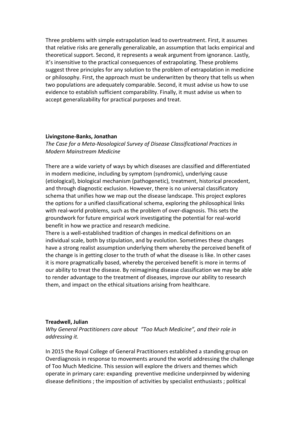Three problems with simple extrapolation lead to overtreatment. First, it assumes that relative risks are generally generalizable, an assumption that lacks empirical and theoretical support. Second, it represents a weak argument from ignorance. Lastly, it's insensitive to the practical consequences of extrapolating. These problems suggest three principles for any solution to the problem of extrapolation in medicine or philosophy. First, the approach must be underwritten by theory that tells us when two populations are adequately comparable. Second, it must advise us how to use evidence to establish sufficient comparability. Finally, it must advise us when to accept generalizability for practical purposes and treat.

#### **Livingstone-Banks, Jonathan**

*The Case for a Meta-Nosological Survey of Disease Classificational Practices in Modern Mainstream Medicine*

There are a wide variety of ways by which diseases are classified and differentiated in modern medicine, including by symptom (syndromic), underlying cause (etiological), biological mechanism (pathogenetic), treatment, historical precedent, and through diagnostic exclusion. However, there is no universal classificatory schema that unifies how we map out the disease landscape. This project explores the options for a unified classificational schema, exploring the philosophical links with real-world problems, such as the problem of over-diagnosis. This sets the groundwork for future empirical work investigating the potential for real-world benefit in how we practice and research medicine.

There is a well-established tradition of changes in medical definitions on an individual scale, both by stipulation, and by evolution. Sometimes these changes have a strong realist assumption underlying them whereby the perceived benefit of the change is in getting closer to the truth of what the disease is like. In other cases it is more pragmatically based, whereby the perceived benefit is more in terms of our ability to treat the disease. By reimagining disease classification we may be able to render advantage to the treatment of diseases, improve our ability to research them, and impact on the ethical situations arising from healthcare.

#### **Treadwell, Julian**

*Why General Practitioners care about "Too Much Medicine", and their role in addressing it.*

In 2015 the Royal College of General Practitioners established a standing group on Overdiagnosis in response to movements around the world addressing the challenge of Too Much Medicine. This session will explore the drivers and themes which operate in primary care: expanding preventive medicine underpinned by widening disease definitions ; the imposition of activities by specialist enthusiasts ; political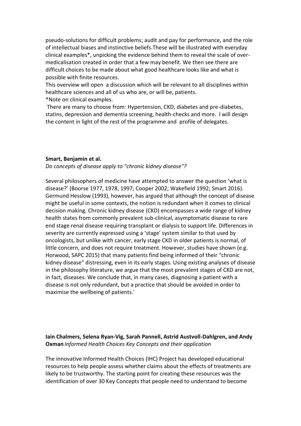pseudo-solutions for difficult problems; audit and pay for performance, and the role of intellectual biases and instinctive beliefs.These will be illustrated with everyday clinical examples\*, unpicking the evidence behind them to reveal the scale of overmedicalisation created in order that a few may benefit. We then see there are difficult choices to be made about what good healthcare looks like and what is possible with finite resources.

This overview will open a discussion which will be relevant to all disciplines within healthcare sciences and all of us who are, or will be, patients.

\*Note on clinical examples.

There are many to choose from: Hypertension, CKD, diabetes and pre-diabetes, statins, depression and dementia screening, health-checks and more. I will design the content in light of the rest of the programme and profile of delegates.

#### **Smart, Benjamin et al.**

*Do concepts of disease apply to "chronic kidney disease"?*

Several philosophers of medicine have attempted to answer the question 'what is disease?' (Boorse 1977, 1978, 1997; Cooper 2002; Wakefield 1992; Smart 2016). Germund Hesslow (1993), however, has argued that although the concept of disease might be useful in some contexts, the notion is redundant when it comes to clinical decision making. Chronic kidney disease (CKD) encompasses a wide range of kidney health states from commonly prevalent sub-clinical, asymptomatic disease to rare end stage renal disease requiring transplant or dialysis to support life. Differences in severity are currently expressed using a 'stage' system similar to that used by oncologists, but unlike with cancer, early stage CKD in older patients is normal, of little concern, and does not require treatment. However, studies have shown (e.g. Horwood, SAPC 2015) that many patients find being informed of their "chronic kidney disease" distressing, even in its early stages. Using existing analyses of disease in the philosophy literature, we argue that the most prevalent stages of CKD are not, in fact, diseases. We conclude that, in many cases, diagnosing a patient with a disease is not only redundant, but a practice that should be avoided in order to maximise the wellbeing of patients.'

#### **Iain Chalmers, Selena Ryan-Vig, Sarah Pannell, Astrid Austvoll-Dahlgren, and Andy Oxman** *Informed Health Choices Key Concepts and their application*

The innovative Informed Health Choices (IHC) Project has developed educational resources to help people assess whether claims about the effects of treatments are likely to be trustworthy. The starting point for creating these resources was the identification of over 30 Key Concepts that people need to understand to become